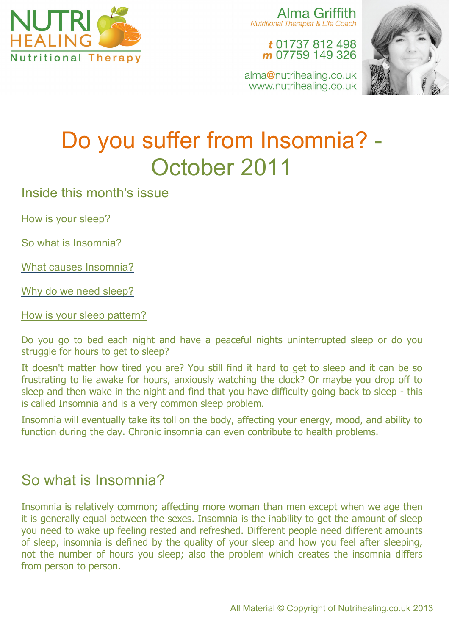

Alma Griffith Nutritional Therapist & Life Coach

## t 01737 812 498 m 07759 149 326

alma@nutrihealing.co.uk www.nutrihealing.co.uk



# Do you suffer from Insomnia? - October 2011

Inside this month's issue

How is your sleep?

So what is Insomnia?

What causes Insomnia?

Why do we need sleep?

How is your sleep pattern?

Do you go to bed each night and have a peaceful nights uninterrupted sleep or do you struggle for hours to get to sleep?

It doesn't matter how tired you are? You still find it hard to get to sleep and it can be so frustrating to lie awake for hours, anxiously watching the clock? Or maybe you drop off to sleep and then wake in the night and find that you have difficulty going back to sleep - this is called Insomnia and is a very common sleep problem.

Insomnia will eventually take its toll on the body, affecting your energy, mood, and ability to function during the day. Chronic insomnia can even contribute to health problems.

# So what is Insomnia?

Insomnia is relatively common; affecting more woman than men except when we age then it is generally equal between the sexes. Insomnia is the inability to get the amount of sleep you need to wake up feeling rested and refreshed. Different people need different amounts of sleep, insomnia is defined by the quality of your sleep and how you feel after sleeping, not the number of hours you sleep; also the problem which creates the insomnia differs from person to person.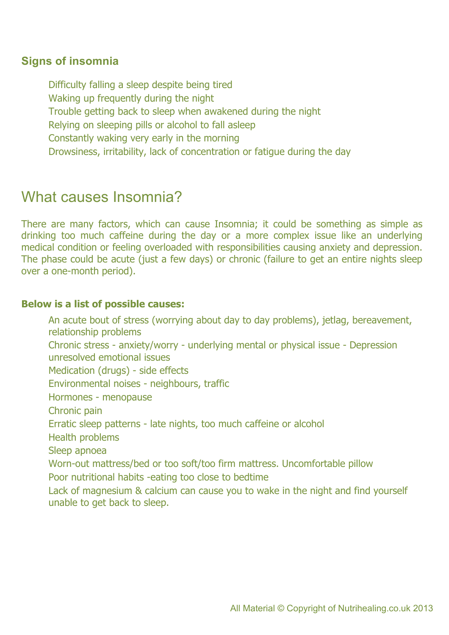## **Signs of insomnia**

Difficulty falling a sleep despite being tired Waking up frequently during the night Trouble getting back to sleep when awakened during the night Relying on sleeping pills or alcohol to fall asleep Constantly waking very early in the morning Drowsiness, irritability, lack of concentration or fatigue during the day

# What causes Insomnia?

There are many factors, which can cause Insomnia; it could be something as simple as drinking too much caffeine during the day or a more complex issue like an underlying medical condition or feeling overloaded with responsibilities causing anxiety and depression. The phase could be acute (just a few days) or chronic (failure to get an entire nights sleep over a one-month period).

#### **Below is a list of possible causes:**

An acute bout of stress (worrying about day to day problems), jetlag, bereavement, relationship problems Chronic stress - anxiety/worry - underlying mental or physical issue - Depression unresolved emotional issues Medication (drugs) - side effects Environmental noises - neighbours, traffic Hormones - menopause Chronic pain Erratic sleep patterns - late nights, too much caffeine or alcohol Health problems Sleep apnoea Worn-out mattress/bed or too soft/too firm mattress. Uncomfortable pillow Poor nutritional habits -eating too close to bedtime Lack of magnesium & calcium can cause you to wake in the night and find yourself unable to get back to sleep.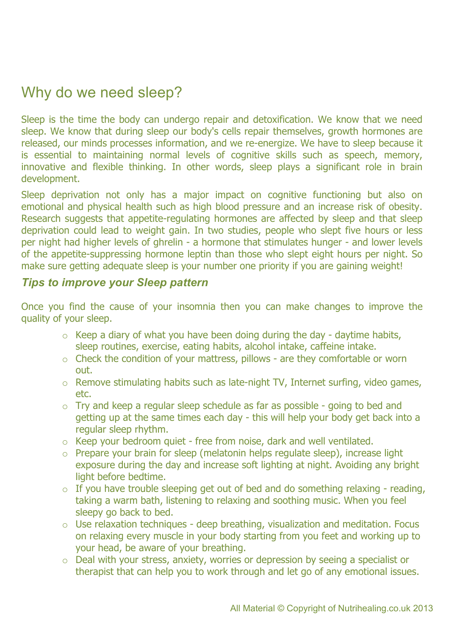# Why do we need sleep?

Sleep is the time the body can undergo repair and detoxification. We know that we need sleep. We know that during sleep our body's cells repair themselves, growth hormones are released, our minds processes information, and we re-energize. We have to sleep because it is essential to maintaining normal levels of cognitive skills such as speech, memory, innovative and flexible thinking. In other words, sleep plays a significant role in brain development.

Sleep deprivation not only has a major impact on cognitive functioning but also on emotional and physical health such as high blood pressure and an increase risk of obesity. Research suggests that appetite-regulating hormones are affected by sleep and that sleep deprivation could lead to weight gain. In two studies, people who slept five hours or less per night had higher levels of ghrelin - a hormone that stimulates hunger - and lower levels of the appetite-suppressing hormone leptin than those who slept eight hours per night. So make sure getting adequate sleep is your number one priority if you are gaining weight!

### *Tips to improve your Sleep pattern*

Once you find the cause of your insomnia then you can make changes to improve the quality of your sleep.

- $\circ$  Keep a diary of what you have been doing during the day daytime habits, sleep routines, exercise, eating habits, alcohol intake, caffeine intake.
- o Check the condition of your mattress, pillows are they comfortable or worn out.
- o Remove stimulating habits such as late-night TV, Internet surfing, video games, etc.
- o Try and keep a regular sleep schedule as far as possible going to bed and getting up at the same times each day - this will help your body get back into a regular sleep rhythm.
- o Keep your bedroom quiet free from noise, dark and well ventilated.
- o Prepare your brain for sleep (melatonin helps regulate sleep), increase light exposure during the day and increase soft lighting at night. Avoiding any bright light before bedtime.
- $\circ$  If you have trouble sleeping get out of bed and do something relaxing reading, taking a warm bath, listening to relaxing and soothing music. When you feel sleepy go back to bed.
- $\circ$  Use relaxation techniques deep breathing, visualization and meditation. Focus on relaxing every muscle in your body starting from you feet and working up to your head, be aware of your breathing.
- o Deal with your stress, anxiety, worries or depression by seeing a specialist or therapist that can help you to work through and let go of any emotional issues.